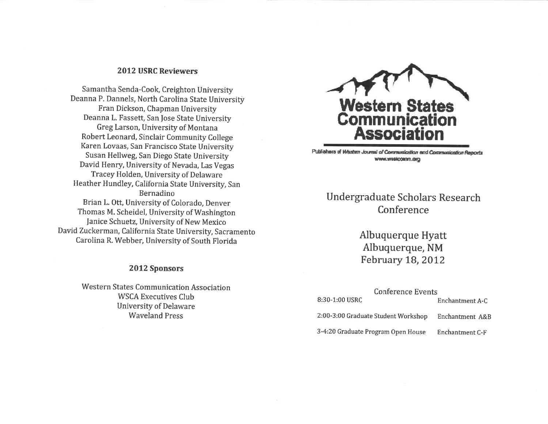# 2012 USRC Reviewers

Samantha Senda-Cook, Creighton University Deanna P. Dannels, North Carolina State University Fran Dickson, Chapman University Deanna L. Fassett, San fose State University Greg Larson, University of Montana Robert Leonard, Sinclair Community College Karen Lovaas, San Francisco State University Susan Hellweg, San Diego State University David Henry, University of Nevada, Las Vegas Tracey Holden, University of Delaware Heather Hundley, California State University, San Bernadino Brian L. Ott, University of Colorado, Denver Thomas M. Scheidel, University of Washington fanice Schuetz, University of New Mexico David Zuckerman, California State University, Sacramento Carolina R. Webber, University of South Florida

# 2Ol2 Sponsors

Western States Communication Association WSCA Executives Club University of Delaware Waveland Press



Publishers of Western Journal of Communication and Communication Reports www.westcoman.dra

# Undergraduate Scholars Research Conference

Albuquerque Hyatt Albuquerque, NM February 18, 2012

| Conference Events<br>8:30-1:00 USRC |                 |
|-------------------------------------|-----------------|
|                                     | Enchantment A-C |
| 2:00-3:00 Graduate Student Workshop | Enchantment A&B |
| 3-4:20 Graduate Program Open House  | Enchantment C-F |